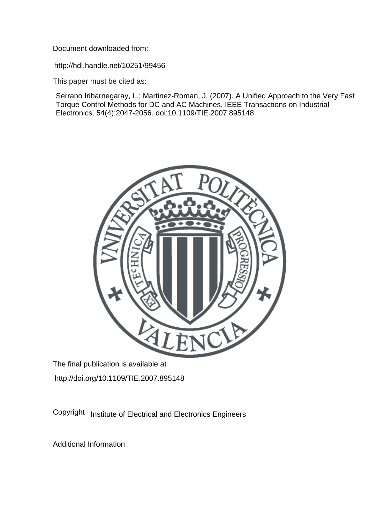Document downloaded from:

http://hdl.handle.net/10251/99456

This paper must be cited as:

Serrano Iribarnegaray, L.; Martinez-Roman, J. (2007). A Unified Approach to the Very Fast Torque Control Methods for DC and AC Machines. IEEE Transactions on Industrial Electronics. 54(4):2047-2056. doi:10.1109/TIE.2007.895148



The final publication is available at http://doi.org/10.1109/TIE.2007.895148

Copyright Institute of Electrical and Electronics Engineers

Additional Information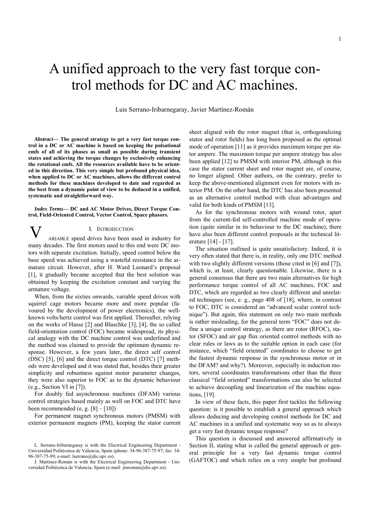# A unified approach to the very fast torque control methods for DC and AC machines.

Luis Serrano-Iribarnegaray, Javier Martínez-Román

*Abstract***— The general strategy to get a very fast torque control in a DC or AC machine is based on keeping the pulsational emfs of all of its phases as small as possible during transient states and achieving the torque changes by exclusively enhancing the rotational emfs. All the resources available have to be oriented in this direction. This very simple but profound physical idea, when applied to DC or AC machines, allows the different control methods for these machines developed to date and regarded as the best from a dynamic point of view to be deduced in a unified, systematic and straightforward way.** 

*Index Terms***— DC and AC Motor Drives, Direct Torque Control, Field-Oriented Control, Vector Control, Space phasors.** 

## I. INTRODUCTION

ARIABLE speed drives have been used in industry for many decades. The first motors used to this end were DC motors with separate excitation. Initially, speed control below the base speed was achieved using a wasteful resistance in the armature circuit. However, after H. Ward Leonard's proposal [1], it gradually became accepted that the best solution was obtained by keeping the excitation constant and varying the armature voltage. V

When, from the sixties onwards, variable speed drives with squirrel cage motors became more and more popular (favoured by the development of power electronics), the wellknown volts/hertz control was first applied. Thereafter, relying on the works of Hasse [2] and Blaschke [3], [4], the so called field-orientation control (FOC) became widespread, its physical analogy with the DC machine control was underlined and the method was claimed to provide the optimum dynamic response. However, a few years later, the direct self control (DSC) [5], [6] and the direct torque control (DTC) [7] methods were developed and it was stated that, besides their greater simplicity and robustness against motor parameter changes, they were also superior to FOC as to the dynamic behaviour (e.g., Section VI in [7]).

For doubly fed asynchronous machines (DFAM) various control strategies based mainly as well on FOC and DTC have been recommended  $(e, g. [8] - [10])$ 

For permanent magnet synchronous motors (PMSM) with exterior permanent magnets (PM), keeping the stator current sheet aligned with the rotor magnet (that is, orthogonalizing stator and rotor fields) has long been proposed as the optimal mode of operation [11] as it provides maximum torque per stator ampere. The maximum torque per ampere strategy has also been applied [12] to PMSM with interior PM, although in this case the stator current sheet and rotor magnet are, of course, no longer aligned. Other authors, on the contrary, prefer to keep the above-mentioned alignment even for motors with interior PM. On the other hand, the DTC has also been presented as an alternative control method with clear advantages and valid for both kinds of PMSM [13].

As for the synchronous motors with wound rotor, apart from the current-fed self-controlled machine mode of operation (quite similar in its behaviour to the DC machine), there have also been different control proposals in the technical literature [14] - [17].

The situation outlined is quite unsatisfactory. Indeed, it is very often stated that there is, in reality, only one DTC method with two slightly different versions (those cited in [6] and [7]), which is, at least, clearly questionable. Likewise, there is a general consensus that there are two main alternatives for high performance torque control of all AC machines, FOC and DTC, which are regarded as two clearly different and unrelated techniques (see, e. g., page 408 of [18], where, in contrast to FOC, DTC is considered an "advanced scalar control technique"). But again, this statement on only two main methods is rather misleading, for the general term "FOC" does not define a unique control strategy, as there are rotor (RFOC), stator (SFOC) and air gap flux oriented control methods with no clear rules or laws as to the suitable option in each case (for instance, which "field oriented" coordinates to choose to get the fastest dynamic response in the synchronous motor or in the DFAM? and why?). Moreover, especially in induction motors, several coordinates transformations other than the three classical "field oriented" transformations can also be selected to achieve decoupling and linearization of the machine equations, [19].

In view of these facts, this paper first tackles the following question: is it possible to establish a general approach which allows deducing and developing control methods for DC and AC machines in a unified and systematic way so as to always get a very fast dynamic torque response?

This question is discussed and answered affirmatively in Section II, stating what is called the general approach or general principle for a very fast dynamic torque control (GAFTOC) and which relies on a very simple but profound

L. Serrano-Iribarnegaray is with the Electrical Engineering Department - Universidad Politécnica de Valencia, Spain (phone: 34-96-387-75-97; fax: 34- 96-387-75-99; e-mail: lserrano@die.upv.es).

J. Martínez-Román is with the Electrical Engineering Department - Universidad Politécnica de Valencia, Spain (e-mail: jmroman@die.upv.es).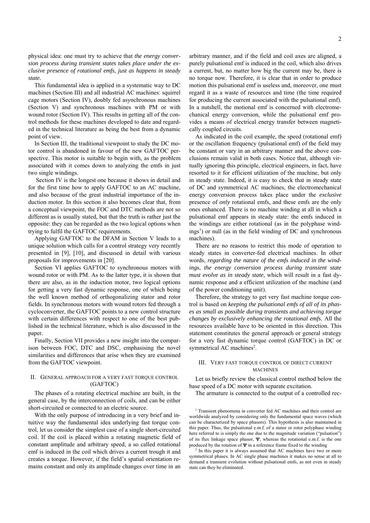physical idea: one must try to achieve that *the energy conversion process during transient states takes place under the exclusive presence of rotational emfs, just as happens in steady state.* 

This fundamental idea is applied in a systematic way to DC machines (Section III) and all industrial AC machines: squirrel cage motors (Section IV), doubly fed asynchronous machines (Section V) and synchronous machines with PM or with wound rotor (Section IV). This results in getting all of the control methods for these machines developed to date and regarded in the technical literature as being the best from a dynamic point of view.

In Section III, the traditional viewpoint to study the DC motor control is abandoned in favour of the new GAFTOC perspective. This motor is suitable to begin with, as the problem associated with it comes down to analyzing the emfs in just two single windings.

 Section IV is the longest one because it shows in detail and for the first time how to apply GAFTOC to an AC machine, and also because of the great industrial importance of the induction motor. In this section it also becomes clear that, from a conceptual viewpoint, the FOC and DTC methods are not so different as is usually stated, but that the truth is rather just the opposite: they can be regarded as the two logical options when trying to fulfil the GAFTOC requirements.

Applying GAFTOC to the DFAM in Section V leads to a unique solution which calls for a control strategy very recently presented in [9], [10], and discussed in detail with various proposals for improvements in [20].

Section VI applies GAFTOC to synchronous motors with wound rotor or with PM. As to the latter type, it is shown that there are also, as in the induction motor, two logical options for getting a very fast dynamic response, one of which being the well known method of orthogonalizing stator and rotor fields. In synchronous motors with wound rotors fed through a cycloconverter, the GAFTOC points to a new control structure with certain differences with respect to one of the best published in the technical literature, which is also discussed in the paper.

Finally, Section VII provides a new insight into the comparison between FOC, DTC and DSC, emphasising the novel similarities and differences that arise when they are examined from the GAFTOC viewpoint.

### II. GENERAL APPROACH FOR A VERY FAST TORQUE CONTROL (GAFTOC)

The phases of a rotating electrical machine are built, in the general case, by the interconnection of coils, and can be either short-circuited or connected to an electric source.

With the only purpose of introducing in a very brief and intuitive way the fundamental idea underlying fast torque control, let us consider the simplest case of a single short-circuited coil. If the coil is placed within a rotating magnetic field of constant amplitude and arbitrary speed, a so called rotational emf is induced in the coil which drives a current trough it and creates a torque. However, if the field's spatial orientation remains constant and only its amplitude changes over time in an arbitrary manner, and if the field and coil axes are aligned, a purely pulsational emf is induced in the coil, which also drives a current, but, no matter how big the current may be, there is no torque now. Therefore, it is clear that in order to produce motion this pulsational emf is useless and, moreover, one must regard it as a waste of resources and time (the time required for producing the current associated with the pulsational emf). In a nutshell, the motional emf is concerned with electromechanical energy conversion, while the pulsational emf provides a means of electrical energy transfer between magnetically coupled circuits.

As indicated in the coil example, the speed (rotational emf) or the oscillation frequency (pulsational emf) of the field may be constant or vary in an arbitrary manner and the above conclusions remain valid in both cases. Notice that, although virtually ignoring this principle, electrical engineers, in fact, have resorted to it for efficient utilization of the machine, but only in steady state. Indeed, it is easy to check that in steady state of DC and symmetrical AC machines, the electromechanical energy conversion process takes place under the *exclusive* presence of *only* rotational emfs, and these emfs are the only ones enhanced. There is no machine winding at all in which a pulsational emf appears in steady state: the emfs induced in the windings are either rotational (as in the polyphase windings<sup>1</sup>) or null (as in the field winding of DC and synchronous machines).

There are no reasons to restrict this mode of operation to steady states in converter-fed electrical machines. In other words, *regarding the nature of the emf*s *induced in the winding*s, *the energy conversion process during transient state must evolve as in steady state,* which will result in a fast dynamic response and a efficient utilization of the machine (and of the power conditioning unit).

Therefore, the strategy to get very fast machine torque control is based on *keeping the pulsational emfs of all of its phases as small as possible during transients and achieving torque changes by exclusively enhancing the rotational emfs.* All the resources available have to be oriented in this direction. This statement constitutes the general approach or general strategy for a very fast dynamic torque control (GAFTOC) in DC or symmetrical AC machines<sup>2</sup>.

### III. VERY FAST TORQUE CONTROL OF DIRECT CURRENT MACHINES

Let us briefly review the classical control method below the base speed of a DC motor with separate excitation.

The armature is connected to the output of a controlled rec-

<sup>1</sup> Transient phenomena in converter fed AC machines and their control are worldwide analyzed by considering only the fundamental space waves (which can be characterized by space phasors). This hypothesis is also maintained in this paper. Thus, the pulsational e.m.f. of a stator or rotor polyphase winding here referred to is simply the one due to the magnitude variation ("pulsation") of its flux linkage space phasor,  $\Psi$ , whereas the rotational e.m.f. is the one produced by the rotation of  $\Psi$  in a reference frame fixed to the winding

 $2$  In this paper it is always assumed that AC machines have two or more symmetrical phases. In AC single phase machines it makes no sense at all to demand a transient evolution without pulsational emfs, as not even in steady state can they be eliminated.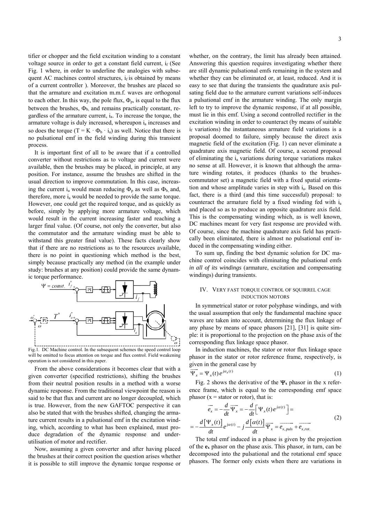tifier or chopper and the field excitation winding to a constant voltage source in order to get a constant field current, if (See Fig. 1 where, in order to underline the analogies with subsequent AC machines control structures,  $i_f$  is obtained by means of a current controller ). Moreover, the brushes are placed so that the armature and excitation m.m.f. waves are orthogonal to each other. In this way, the pole flux,  $\Phi_p$ , is equal to the flux between the brushes,  $\Phi_b$ , and remains practically constant, regardless of the armature current, ia. To increase the torque, the armature voltage is duly increased, whereupon  $i_a$  increases and so does the torque (T =  $K \cdot \Phi_b \cdot i_a$ ) as well. Notice that there is no pulsational emf in the field winding during this transient process.

It is important first of all to be aware that if a controlled converter without restrictions as to voltage and current were available, then the brushes may be placed, in principle, at any position. For instance, assume the brushes are shifted in the usual direction to improve commutation. In this case, increasing the current i<sub>a</sub> would mean reducing  $\Phi_p$  as well as  $\Phi_b$ , and, therefore, more  $i_a$  would be needed to provide the same torque. However, one could get the required torque, and as quickly as before, simply by applying more armature voltage, which would result in the current increasing faster and reaching a larger final value. (Of course, not only the converter, but also the commutator and the armature winding must be able to withstand this greater final value). These facts clearly show that if there are no restrictions as to the resources available, there is no point in questioning which method is the best, simply because practically any method (in the example under study: brushes at any position) could provide the same dynamic torque performance.



Fig.1. DC Machine control. In the subsequent schemes the speed control loop will be omitted to focus attention on torque and flux control. Field weakening operation is not considered in this paper.

From the above considerations it becomes clear that with a given converter (specified restrictions), shifting the brushes from their neutral position results in a method with a worse dynamic response. From the traditional viewpoint the reason is said to be that flux and current are no longer decoupled, which is true. However, from the new GAFTOC perspective it can also be stated that with the brushes shifted, changing the armature current results in a pulsational emf in the excitation winding, which, according to what has been explained, must produce degradation of the dynamic response and underutilisation of motor and rectifier.

Now, assuming a given converter and after having placed the brushes at their correct position the question arises whether it is possible to still improve the dynamic torque response or whether, on the contrary, the limit has already been attained. Answering this question requires investigating whether there are still dynamic pulsational emfs remaining in the system and whether they can be eliminated or, at least, reduced. And it is easy to see that during the transients the quadrature axis pulsating field due to the armature current variations self-induces a pulsational emf in the armature winding. The only margin left to try to improve the dynamic response, if at all possible, must lie in this emf. Using a second controlled rectifier in the excitation winding in order to counteract (by means of suitable  $i<sub>f</sub>$  variations) the instantaneous armature field variations is a proposal doomed to failure, simply because the direct axis magnetic field of the excitation (Fig. 1) can never eliminate a quadrature axis magnetic field. Of course, a second proposal of eliminating the  $i_a$  variations during torque variations makes no sense at all. However, it is known that although the armature winding rotates, it produces (thanks to the brushescommutator set) a magnetic field with a fixed spatial orientation and whose amplitude varies in step with ia. Based on this fact, there is a third (and this time successful) proposal: to counteract the armature field by a fixed winding fed with  $i_a$ and placed so as to produce an opposite quadrature axis field. This is the compensating winding which, as is well known, DC machines meant for very fast response are provided with. Of course, since the machine quadrature axis field has practically been eliminated, there is almost no pulsational emf induced in the compensating winding either.

To sum up, finding the best dynamic solution for DC machine control coincides with eliminating the pulsational emfs *in all of its windings* (armature, excitation and compensating windings) during transients.

### IV. VERY FAST TORQUE CONTROL OF SQUIRREL CAGE INDUCTION MOTORS

In symmetrical stator or rotor polyphase windings, and with the usual assumption that only the fundamental machine space waves are taken into account, determining the flux linkage of any phase by means of space phasors [21], [31] is quite simple: it is proportional to the projection on the phase axis of the corresponding flux linkage space phasor.

In induction machines, the stator or rotor flux linkage space phasor in the stator or rotor reference frame, respectively, is given in the general case by

$$
\overline{\Psi}_x = \Psi_x(t) e^{j\alpha_x(t)} \tag{1}
$$

Fig. 2 shows the derivative of the  $\Psi_x$  phasor in the x reference frame, which is equal to the corresponding emf space phasor ( $x =$  stator or rotor), that is:

$$
\overrightarrow{e_x} = -\frac{d}{dt}\overrightarrow{\Psi_x} = -\frac{d}{dt}\left[\Psi_x(t)e^{j\alpha(t)}\right] =
$$
\n
$$
= -\frac{d\left[\Psi_x(t)\right]}{dt}e^{j\alpha(t)} - j\frac{d\left[\alpha(t)\right]}{dt}\overrightarrow{\Psi_x} = \overrightarrow{e_{x, puls}} + \overrightarrow{e_{x, rot.}}
$$
\n(2)

The total emf induced in a phase is given by the projection of the **ex** phasor on the phase axis. This phasor, in turn, can be decomposed into the pulsational and the rotational emf space phasors. The former only exists when there are variations in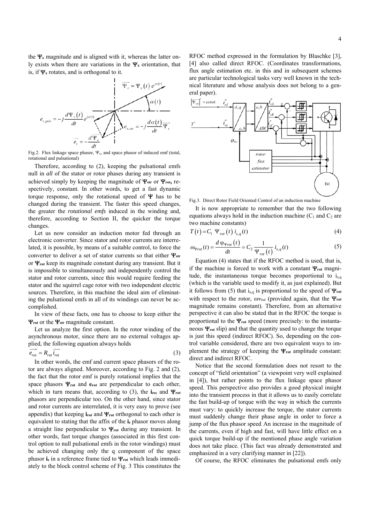the  $\Psi_x$  magnitude and is aligned with it, whereas the latter only exists when there are variations in the  $\Psi_x$  orientation, that is, if  $\Psi$ <sub>x</sub> rotates, and is orthogonal to it.



Fig.2. Flux linkage space phasor,  $\Psi_x$ , and space phasor of induced emf (total, rotational and pulsational)

Therefore, according to (2), keeping the pulsational emfs null in *all* of the stator or rotor phases during any transient is achieved simply by keeping the magnitude of  $\Psi_{str}$  or  $\Psi_{rot}$ , respectively, constant. In other words, to get a fast dynamic torque response, only the rotational speed of  $\Psi$  has to be changed during the transient. The faster this speed changes, the greater the *rotational emfs* induced in the winding and, therefore, according to Section II, the quicker the torque changes.

Let us now consider an induction motor fed through an electronic converter. Since stator and rotor currents are interrelated, it is possible, by means of a suitable control, to force the converter to deliver a set of stator currents so that either  $\Psi_{str}$ or  $\Psi_{\text{rot}}$  keep its magnitude constant during any transient. But it is impossible to simultaneously and independently control the stator and rotor currents, since this would require feeding the stator and the squirrel cage rotor with two independent electric sources. Therefore, in this machine the ideal aim of eliminating the pulsational emfs in all of its windings can never be accomplished.

In view of these facts, one has to choose to keep either the  $\Psi_{\text{rot}}$  or the  $\Psi_{\text{str}}$  magnitude constant.

Let us analyze the first option. In the rotor winding of the asynchronous motor, since there are no external voltages ap-

plied, the following equation always holds  
\n
$$
\overrightarrow{e_{rot}} = R_{rot} \overrightarrow{i_{rot}}
$$
\n(3)

In other words, the emf and current space phasors of the rotor are always aligned. Moreover, according to Fig. 2 and (2), the fact that the rotor emf is purely rotational implies that the space phasors  $\Psi_{\text{rot}}$  and  $\mathbf{e}_{\text{rot}}$  are perpendicular to each other, which in turn means that, according to (3), the  $\mathbf{i}_{\text{rot}}$  and  $\mathbf{\Psi}_{\text{rot}}$ phasors are perpendicular too. On the other hand, since stator and rotor currents are interrelated, it is very easy to prove (see appendix) that keeping  $\mathbf{i}_{\text{rot}}$  and  $\Psi_{\text{rot}}$  orthogonal to each other is equivalent to stating that the affix of the **is** phasor moves along a straight line perpendicular to  $\Psi$ <sub>rot</sub> during any transient. In other words, fast torque changes (associated in this first control option to null pulsational emfs in the rotor windings) must be achieved changing only the q component of the space phasor  $\mathbf{i}_s$  in a reference frame tied to  $\Psi_{\text{rot}}$  which leads immediately to the block control scheme of Fig. 3 This constitutes the RFOC method expressed in the formulation by Blaschke [3], [4] also called direct RFOC. (Coordinates transformations, flux angle estimation etc. in this and in subsequent schemes are particular technological tasks very well known in the technical literature and whose analysis does not belong to a general paper).



Fig.3. Direct Rotor Field Oriented Control of an induction machine

It is now appropriate to remember that the two following equations always hold in the induction machine  $(C_1$  and  $C_2$  are two machine constants)

$$
T(t) = C_1 \Psi_{rot}(t) i_{s,q}(t) \tag{4}
$$

$$
\omega_{\Psi_{rot}}(t) = \frac{d \varphi_{\Psi_{rot}}(t)}{dt} = C_2 \frac{1}{\Psi_{rot}(t)} i_{s,q}(t)
$$
\n(5)

Equation (4) states that if the RFOC method is used, that is, if the machine is forced to work with a constant  $\Psi_{\text{rot}}$  magnitude, the instantaneous torque becomes proportional to  $i_{s,q}$ (which is the variable used to modify it, as just explained). But it follows from (5) that i<sub>s,q</sub> is proportional to the speed of  $\Psi_{\text{rot}}$ with respect to the rotor,  $\omega_{\text{Prot}}$  (provided again, that the  $\Psi_{\text{rot}}$ magnitude remains constant). Therefore, from an alternative perspective it can also be stated that in the RFOC the torque is proportional to the  $\Psi_{\text{rot}}$  speed (more precisely: to the instantaneous  $\Psi_{\text{rot}}$  slip) and that the quantity used to change the torque is just this speed (indirect RFOC). So, depending on the control variable considered, there are two equivalent ways to implement the strategy of keeping the  $\Psi_{\text{rot}}$  amplitude constant: direct and indirect RFOC.

Notice that the second formulation does not resort to the concept of "field orientation" (a viewpoint very well explained in [4]), but rather points to the flux linkage space phasor speed. This perspective also provides a good physical insight into the transient process in that it allows us to easily correlate the fast build-up of torque with the way in which the currents must vary: to quickly increase the torque, the stator currents must suddenly change their phase angle in order to force a jump of the flux phasor speed. An increase in the magnitude of the currents, even if high and fast, will have little effect on a quick torque build-up if the mentioned phase angle variation does not take place. (This fact was already demonstrated and emphasized in a very clarifying manner in [22]).

Of course, the RFOC eliminates the pulsational emfs only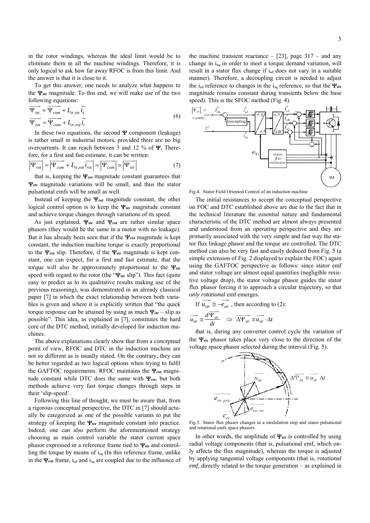in the rotor windings, whereas the ideal limit would be to eliminate them in all the machine windings. Therefore, it is only logical to ask how far away RFOC is from this limit. And the answer is that it is close to it.

To get this answer, one needs to analyze what happens to the  $\Psi_{str}$  magnitude. To this end, we will make use of the two following equations:

$$
\overrightarrow{\Psi_{str}} = \overrightarrow{\Psi_{com}} + L_{\sigma, str} \overrightarrow{i_s}
$$
\n
$$
\overrightarrow{\Psi_{rot}} = \overrightarrow{\Psi_{com}} + L_{\sigma, rot} \overrightarrow{i_r}
$$
\n(6)

In these two equations, the second  $\Psi$  component (leakage) is rather small in industrial motors, provided there are no big overcurrents. It can reach between 3 and 12  $\%$  of  $\Psi$ . Therefore, for a first and fast estimate, it can be written:

$$
\left|\overline{\Psi_{rot}}\right| = \left|\overline{\Psi_{com}} + L_{\sigma, rot} \overline{i_{rot}}\right| \approx \left|\overline{\Psi_{com}}\right| \approx \left|\overline{\Psi_{str}}\right| \tag{7}
$$

that is, keeping the  $\Psi_{\text{rot}}$  magnitude constant guarantees that **Y**<sub>str</sub> magnitude variations will be small, and thus the stator pulsational emfs will be small as well.

Instead of keeping the  $\Psi_{\text{rot}}$  magnitude constant, the other logical control option is to keep the  $\Psi_{str}$  magnitude constant and achieve torque changes through variations of its speed.

As just explained,  $\Psi_{str}$  and  $\Psi_{rot}$  are rather similar space phasors (they would be the same in a motor with no leakage). But it has already been seen that if the  $\Psi_{\text{rot}}$  magnitude is kept constant, the induction machine torque is exactly proportional to the  $\Psi_{\text{rot}}$  slip. Therefore, if the  $\Psi_{\text{str}}$  magnitude is kept constant, one can expect, for a first and fast estimate, that the torque will also be approximately proportional to the  $\Psi_{str}$ speed with regard to the rotor (the " $\Psi_{str}$  slip"). This fact (quite easy to predict as to its qualitative results making use of the previous reasoning), was demonstrated in an already classical paper [7] in which the exact relationship between both variables is given and where it is explicitly written that "the quick torque response can be attained by using as much  $\Psi_{str}$  – slip as possible". This idea, as explained in [7], constitutes the hard core of the DTC method, initially developed for induction machines.

The above explanations clearly show that from a *conceptual* point of view, RFOC and DTC in the induction machine are not so different as is usually stated. On the contrary, they can be better regarded as two logical options when trying to fulfil the GAFTOC requirements: RFOC maintains the  $\Psi_{\text{rot}}$  magnitude constant while DTC does the same with  $\Psi_{\text{est}}$ , but both methods achieve very fast torque changes through steps in their 'slip-speed'.

Following this line of thought, we must be aware that, from a rigorous conceptual perspective, the DTC in [7] should actually be categorized as one of the possible variants to put the strategy of keeping the  $\Psi_{str}$  magnitude constant into practice. Indeed, one can also perform the aforementioned strategy choosing as main control variable the stator current space phasor expressed in a reference frame tied to  $\Psi_{str}$  and controlling the torque by means of  $i_{sa}$  (In this reference frame, unlike in the  $\Psi_{\text{rot}}$  frame, i<sub>sd</sub> and i<sub>sq</sub> are coupled due to the influence of the machine transient reactance  $-$  [23], page 317 – and any change in  $i_{sq}$  in order to meet a torque demand variation, will result in a stator flux change if isd does not vary in a suitable manner). Therefore, a decoupling circuit is needed to adjust the i<sub>sd</sub> reference to changes in the i<sub>sq</sub> reference, so that the  $\Psi_{str}$ magnitude remains constant during transients below the base speed). This is the SFOC method (Fig. 4).



Fig.4. Stator Field Oriented Control of an induction machine

The initial resistances to accept the conceptual perspective on FOC and DTC established above are due to the fact that in the technical literature the essential nature and fundamental characteristic of the DTC method are almost always presented and understood from an *operating* perspective and they are primarily associated with the very simple and fast way the stator flux linkage phasor and the torque are controlled. The DTC method can also be very fast and easily deduced from Fig. 5 (a simple extension of Fig. 2 displayed to explain the FOC) again using the GAFTOC perspective as follows: since stator emf and stator voltage are almost equal quantities (negligible resistive voltage drop), the stator voltage phasor guides the stator flux phasor forcing it to approach a circular trajectory, so that *only rotational* emf emerges.

If  $\overrightarrow{u_{str}} \cong -\overrightarrow{e_{str}}$ , then according to (2):

$$
\overrightarrow{u_{str}} \cong \frac{d \overrightarrow{\Psi_{str}}}{dt} \implies \overrightarrow{\Delta \Psi_{str}} \cong \overrightarrow{u_{str}} \cdot \Delta t
$$

that is, during any converter control cycle the variation of the  $\Psi_{str}$  phasor takes place very close to the direction of the voltage space phasor selected during the interval (Fig. 5).



Fig.5. Stator flux phasor changes in a modulation step and stator pulsational and rotational emfs space phasors.

In other words, the amplitude of  $\Psi_{str}$  is controlled by using radial voltage components (that is, pulsational emf, which only affects the flux magnitude), whereas the torque is adjusted by applying tangential voltage components (that is, *rotational emf*, directly related to the torque generation – as explained in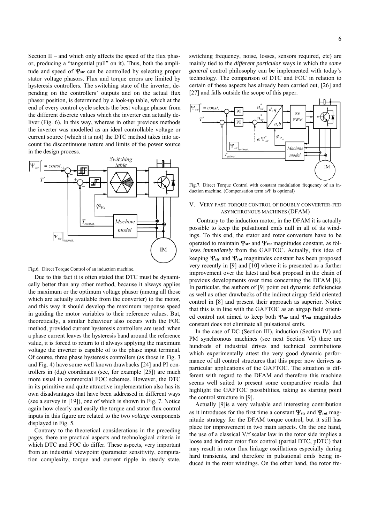Section II – and which only affects the speed of the flux phasor, producing a "tangential pull" on it). Thus, both the amplitude and speed of  $\Psi_{str}$  can be controlled by selecting proper stator voltage phasors. Flux and torque errors are limited by hysteresis controllers. The switching state of the inverter, depending on the controllers' outputs and on the actual flux phasor position, is determined by a look-up table, which at the end of every control cycle selects the best voltage phasor from the different discrete values which the inverter can actually deliver (Fig. 6). In this way, whereas in other previous methods the inverter was modelled as an ideal controllable voltage or current source (which it is not) the DTC method takes into account the discontinuous nature and limits of the power source in the design process.



Fig.6. Direct Torque Control of an induction machine.

Due to this fact it is often stated that DTC must be dynamically better than any other method, because it always applies the maximum or the optimum voltage phasor (among all those which are actually available from the converter) to the motor, and this way it should develop the maximum response speed in guiding the motor variables to their reference values. But, theoretically, a similar behaviour also occurs with the FOC method, provided current hysteresis controllers are used: when a phase current leaves the hysteresis band around the reference value, it is forced to return to it always applying the maximum voltage the inverter is capable of to the phase input terminal. Of course, three phase hysteresis controllers (as those in Fig. 3 and Fig. 4) have some well known drawbacks [24] and PI controllers in  $(d,q)$  coordinates (see, for example  $[25]$ ) are much more usual in commercial FOC schemes. However, the DTC in its primitive and quite attractive implementation also has its own disadvantages that have been addressed in different ways (see a survey in [19]), one of which is shown in Fig. 7. Notice again how clearly and easily the torque and stator flux control inputs in this figure are related to the two *voltage* components displayed in Fig. 5.

Contrary to the theoretical considerations in the preceding pages, there are practical aspects and technological criteria in which DTC and FOC do differ. These aspects, very important from an industrial viewpoint (parameter sensitivity, computation complexity, torque and current ripple in steady state, switching frequency, noise, losses, sensors required, etc) are mainly tied to the *different particular* ways in which the *same general* control philosophy can be implemented with today's technology. The comparison of DTC and FOC in relation to certain of these aspects has already been carried out, [26] and [27] and falls outside the scope of this paper.



Fig.7. Direct Torque Control with constant modulation frequency of an induction machine. (Compensation term  $\omega \Psi$  is optional)

#### V. VERY FAST TORQUE CONTROL OF DOUBLY CONVERTER-FED ASYNCHRONOUS MACHINES (DFAM)

 Contrary to the induction motor, in the DFAM it is actually possible to keep the pulsational emfs null in all of its windings. To this end, the stator and rotor converters have to be operated to maintain  $\Psi_{str}$  and  $\Psi_{rot}$  magnitudes constant, as follows *immediately* from the GAFTOC. Actually, this idea of keeping  $\Psi_{str}$  and  $\Psi_{rot}$  magnitudes constant has been proposed very recently in [9] and [10] where it is presented as a further improvement over the latest and best proposal in the chain of previous developments over time concerning the DFAM [8]. In particular, the authors of [9] point out dynamic deficiencies as well as other drawbacks of the indirect airgap field oriented control in [8] and present their approach as superior. Notice that this is in line with the GAFTOC as an airgap field oriented control not aimed to keep both  $\Psi_{str}$  and  $\Psi_{rot}$  magnitudes constant does not eliminate all pulsational emfs.

In the case of DC (Section III), induction (Section IV) and PM synchronous machines (see next Section VI) there are hundreds of industrial drives and technical contributions which experimentally attest the very good dynamic performance of all control structures that this paper now derives as particular applications of the GAFTOC. The situation is different with regard to the DFAM and therefore this machine seems well suited to present some comparative results that highlight the GAFTOC possibilities, taking as starting point the control structure in [9].

Actually [9]is a very valuable and interesting contribution as it introduces for the first time a constant  $\Psi_{str}$  and  $\Psi_{rot}$  magnitude strategy for the DFAM torque control, but it still has place for improvement in two main aspects. On the one hand, the use of a classical V/f scalar law in the rotor side implies a loose and indirect rotor flux control (partial DTC, pDTC) that may result in rotor flux linkage oscillations especially during hard transients, and therefore in pulsational emfs being induced in the rotor windings. On the other hand, the rotor fre-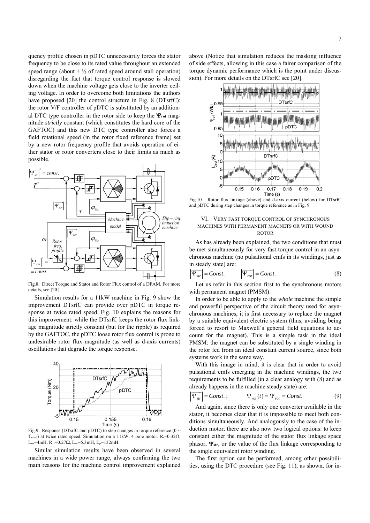quency profile chosen in pDTC unnecessarily forces the stator frequency to be close to its rated value throughout an extended speed range (about  $\pm \frac{1}{2}$  of rated speed around stall operation) disregarding the fact that torque control response is slowed down when the machine voltage gets close to the inverter ceiling voltage. In order to overcome both limitations the authors have proposed [20] the control structure in Fig. 8 (DTsrfC): the rotor V/F controller of pDTC is substituted by an additional DTC type controller in the rotor side to keep the  $\Psi_{\text{rot}}$  magnitude *strictly* constant (which constitutes the hard core of the GAFTOC) and this new DTC type controller also forces a field rotational speed (in the rotor fixed reference frame) set by a new rotor frequency profile that avoids operation of either stator or rotor converters close to their limits as much as possible.



Fig.8. Direct Torque and Stator and Rotor Flux control of a DFAM. For more details, see [20]

Simulation results for a 11kW machine in Fig. 9 show the improvement DTsrfC can provide over pDTC in torque response at twice rated speed. Fig. 10 explains the reasons for this improvement: while the DTsrfC keeps the rotor flux linkage magnitude strictly constant (but for the ripple) as required by the GAFTOC, the pDTC loose rotor flux control is prone to undesirable rotor flux magnitude (as well as d-axis currents) oscillations that degrade the torque response.



Fig.9. Response (DTsrfC and pDTC) to step changes in torque reference ( $0 \sim$ Trated) at twice rated speed. Simulation on a 11kW, 4 pole motor.  $R_s = 0.32\Omega$ ,  $L_{\sigma s}$ =4mH, R'<sub>r</sub>=0.27 $\Omega$ , L<sub> $\sigma$ r</sub>=5.3mH, L<sub>u</sub>=132mH.

Similar simulation results have been observed in several machines in a wide power range, always confirming the two main reasons for the machine control improvement explained above (Notice that simulation reduces the masking influence of side effects, allowing in this case a fairer comparison of the torque dynamic performance which is the point under discussion). For more details on the DTsrfC see [20].



Fig.10. Rotor flux linkage (above) and d-axis current (below) for DTsrfC and pDTC during step changes in torque reference as in Fig. 9

#### VI. VERY FAST TORQUE CONTROL OF SYNCHRONOUS MACHINES WITH PERMANENT MAGNETS OR WITH WOUND ROTOR

As has already been explained, the two conditions that must be met simultaneously for very fast torque control in an asynchronous machine (no pulsational emfs in its windings, just as in steady state) are:

$$
\overline{\Psi_{str}} = Const.
$$
 (8)

Let us refer in this section first to the synchronous motors with permanent magnet (PMSM).

In order to be able to apply to the *whole* machine the simple and powerful perspective of the circuit theory used for asynchronous machines, it is first necessary to replace the magnet by a suitable equivalent electric system (thus, avoiding being forced to resort to Maxwell´s general field equations to account for the magnet). This is a simple task in the ideal PMSM: the magnet can be substituted by a single winding in the rotor fed from an ideal constant current source, since both systems work in the same way.

With this image in mind, it is clear that in order to avoid pulsational emfs emerging in the machine windings, the two requirements to be fulfilled (in a clear analogy with (8) and as already happens in the machine steady state) are:

$$
\overline{\Psi_{str}} = Const. ; \qquad \Psi_{rot}(t) = \Psi_{rot} = Const.
$$
 (9)

And again, since there is only one converter available in the stator, it becomes clear that it is impossible to meet both conditions simultaneously. And analogously to the case of the induction motor, there are also now two logical options: to keep constant either the magnitude of the stator flux linkage space phasor,  $\Psi_{str}$ , or the value of the flux linkage corresponding to the single equivalent rotor winding.

The first option can be performed, among other possibilities, using the DTC procedure (see Fig. 11), as shown, for in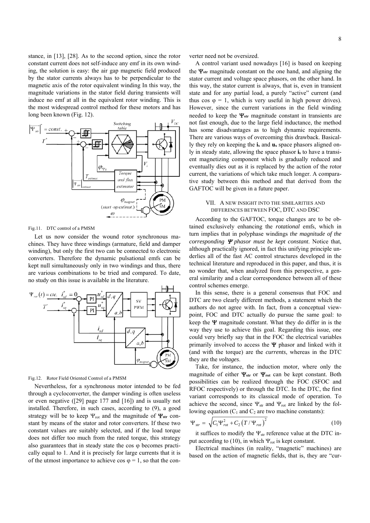stance, in [13], [28]. As to the second option, since the rotor constant current does not self-induce any emf in its own winding, the solution is easy: the air gap magnetic field produced by the stator currents always has to be perpendicular to the magnetic axis of the rotor equivalent winding In this way, the magnitude variations in the stator field during transients will induce no emf at all in the equivalent rotor winding. This is the most widespread control method for these motors and has long been known (Fig. 12).



Fig.11. DTC control of a PMSM

Let us now consider the wound rotor synchronous machines. They have three windings (armature, field and damper winding), but only the first two can be connected to electronic converters. Therefore the dynamic pulsational emfs can be kept null simultaneously only in two windings and thus, there are various combinations to be tried and compared. To date, no study on this issue is available in the literature.



Fig.12. Rotor Field Oriented Control of a PMSM

Nevertheless, for a synchronous motor intended to be fed through a cycloconverter, the damper winding is often useless or even negative ([29] page 177 and [16]) and is usually not installed. Therefore, in such cases, according to (9), a good strategy will be to keep  $\Psi_{\text{rot}}$  and the magnitude of  $\Psi_{\text{str}}$  constant by means of the stator and rotor converters. If these two constant values are suitably selected, and if the load torque does not differ too much from the rated torque, this strategy also guarantees that in steady state the  $cos \varphi$  becomes practically equal to 1. And it is precisely for large currents that it is of the utmost importance to achieve cos  $\varphi = 1$ , so that the converter need not be oversized.

A control variant used nowadays [16] is based on keeping the  $\Psi_{str}$  magnitude constant on the one hand, and aligning the stator current and voltage space phasors, on the other hand. In this way, the stator current is always, that is, even in transient state and for any partial load, a purely "active" current (and thus cos  $\varphi = 1$ , which is very useful in high power drives). However, since the current variations in the field winding needed to keep the  $\Psi_{str}$  magnitude constant in transients are not fast enough, due to the large field inductance, the method has some disadvantages as to high dynamic requirements. There are various ways of overcoming this drawback. Basically they rely on keeping the **is** and **us** space phasors aligned only in steady state, allowing the space phasor **is** to have a transient magnetizing component which is gradually reduced and eventually dies out as it is replaced by the action of the rotor current, the variations of which take much longer. A comparative study between this method and that derived from the GAFTOC will be given in a future paper.

#### VII. A NEW INSIGHT INTO THE SIMILARITIES AND DIFFERENCES BETWEEN FOC, DTC AND DSC

According to the GAFTOC, torque changes are to be obtained exclusively enhancing the *rotational* emfs, which in turn implies that in polyphase windings *the magnitude of the corresponding*  $\Psi$  *phasor must be kept constant.* Notice that, although practically ignored, in fact this unifying principle underlies all of the fast AC control structures developed in the technical literature and reproduced in this paper, and thus, it is no wonder that, when analyzed from this perspective, a general similarity and a clear correspondence between all of these control schemes emerge.

In this sense, there is a general consensus that FOC and DTC are two clearly different methods, a statement which the authors do not agree with. In fact, from a conceptual viewpoint, FOC and DTC actually do pursue the same goal: to keep the  $\Psi$  magnitude constant. What they do differ in is the way they use to achieve this goal. Regarding this issue, one could very briefly say that in the FOC the electrical variables primarily involved to access the  $\Psi$  phasor and linked with it (and with the torque) are the *currents*, whereas in the DTC they are the *voltages*.

Take, for instance, the induction motor, where only the magnitude of either  $\Psi_{str}$  or  $\Psi_{rot}$  can be kept constant. Both possibilities can be realized through the FOC (SFOC and RFOC respectively) or through the DTC. In the DTC, the first variant corresponds to its classical mode of operation. To achieve the second, since  $\Psi_{str}$  and  $\Psi_{rot}$  are linked by the following equation  $(C_1$  and  $C_2$  are two machine constants):

$$
\Psi_{str} = \sqrt{C_1 \Psi_{rot}^2 + C_2 (T / \Psi_{rot})^2}
$$
 (10)

it suffices to modify the  $\Psi_{str}$  reference value at the DTC input according to (10), in which  $\Psi_{\text{rot}}$  is kept constant.

Electrical machines (in reality, "magnetic" machines) are based on the action of magnetic fields, that is, they are "cur-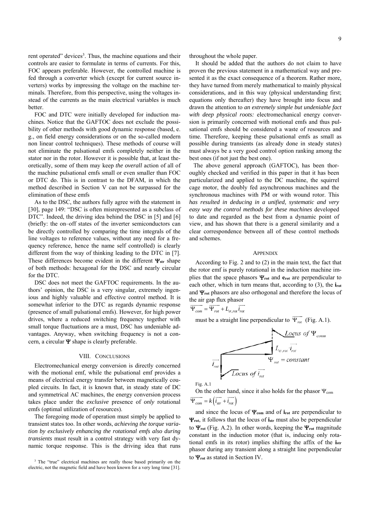rent operated" devices<sup>3</sup>. Thus, the machine equations and their controls are easier to formulate in terms of currents. For this, FOC appears preferable. However, the controlled machine is fed through a converter which (except for current source inverters) works by impressing the voltage on the machine terminals. Therefore, from this perspective, using the voltages instead of the currents as the main electrical variables is much better.

FOC and DTC were initially developed for induction machines. Notice that the GAFTOC does not exclude the possibility of other methods with good dynamic response (based, e. g., on field energy considerations or on the so-called modern non linear control techniques). These methods of course will not eliminate the pulsational emfs completely neither in the stator nor in the rotor. However it is possible that, at least theoretically, some of them may keep *the overall* action of all of the machine pulsational emfs small or even smaller than FOC or DTC do. This is in contrast to the DFAM, in which the method described in Section V can not be surpassed for the elimination of these emfs

As to the DSC, the authors fully agree with the statement in [30], page 149: "DSC is often misrepresented as a subclass of DTC". Indeed, the driving idea behind the DSC in [5] and [6] (briefly: the on–off states of the inverter semiconductors can be directly controlled by comparing the time integrals of the line voltages to reference values, without any need for a frequency reference, hence the name self controlled) is clearly different from the way of thinking leading to the DTC in [7]. These differences become evident in the different  $\Psi_{str}$  shape of both methods: hexagonal for the DSC and nearly circular for the DTC.

DSC does not meet the GAFTOC requirements. In the authors' opinion, the DSC is a very singular, extremely ingenious and highly valuable and effective control method. It is somewhat inferior to the DTC as regards dynamic response (presence of small pulsational emfs). However, for high power drives, where a reduced switching frequency together with small torque fluctuations are a must, DSC has undeniable advantages. Anyway, when switching frequency is not a concern, a circular  $\Psi$  shape is clearly preferable.

#### VIII. CONCLUSIONS

Electromechanical energy conversion is directly concerned with the motional emf, while the pulsational emf provides a means of electrical energy transfer between magnetically coupled circuits. In fact, it is known that, in steady state of DC and symmetrical AC machines, the energy conversion process takes place under the *exclusive* presence of *only* rotational emfs (optimal utilization of resources).

The foregoing mode of operation must simply be applied to transient states too. In other words, *achieving the torque variation by exclusively enhancing the rotational emfs also during transients* must result in a control strategy with very fast dynamic torque response. This is the driving idea that runs

<sup>3</sup> The "true" electrical machines are really those based primarily on the electric, not the magnetic field and have been known for a very long time [31].

throughout the whole paper.

It should be added that the authors do not claim to have proven the previous statement in a mathematical way and presented it as the exact consequence of a theorem. Rather more, they have turned from merely mathematical to mainly physical considerations, and in this way (physical understanding first; equations only thereafter) they have brought into focus and drawn the attention to *an extremely simple but undeniable fact with deep physical roots:* electromechanical energy conversion is primarily concerned with motional emfs and thus pulsational emfs should be considered a waste of resources and time. Therefore, keeping these pulsational emfs as small as possible during transients (as already done in steady states) must always be a very good control option ranking among the best ones (if not just the best one).

The above general approach (GAFTOC), has been thoroughly checked and verified in this paper in that it has been particularized and applied to the DC machine, the squirrel cage motor, the doubly fed asynchronous machines and the synchronous machines with PM or with wound rotor. This *has resulted in deducing in a unified, systematic and very easy way the control methods for these machines* developed to date and regarded as the best from a dynamic point of view, and has shown that there is a general similarity and a clear correspondence between all of these control methods and schemes.

#### **APPENDIX**

According to Fig. 2 and to (2) in the main text, the fact that the rotor emf is purely rotational in the induction machine implies that the space phasors  $\Psi_{\text{rot}}$  and  $e_{\text{rot}}$  are perpendicular to each other, which in turn means that, according to (3), the **irot** and  $\Psi_{\text{rot}}$  phasors are also orthogonal and therefore the locus of the air gap flux phasor

 $\overrightarrow{\Psi_{com}} = \overrightarrow{\Psi_{rot}} + L_{\sigma, rot} \overrightarrow{i_{rot}}$ 

must be a straight line perpendicular to  $\overrightarrow{\Psi}_{rot}$  (Fig. A.1).



Fig. A.1

On the other hand, since it also holds for the phasor  $\Psi_{\rm com}$  $\overrightarrow{\Psi_{com}} = k \left( \overrightarrow{i_{str}} + \overrightarrow{i_{rot}} \right)$ 

and since the locus of  $\Psi_{com}$  and of **i**<sub>rot</sub> are perpendicular to  $\Psi_{\text{rot}}$ , it follows that the locus of  $\mathbf{i}_{\text{str}}$  must also be perpendicular to  $\Psi_{\text{rot}}$  (Fig. A.2). In other words, keeping the  $\Psi_{\text{rot}}$  magnitude constant in the induction motor (that is, inducing only rotational emfs in its rotor) implies shifting the affix of the **istr** phasor during any transient along a straight line perpendicular to  $\Psi_{\text{rot}}$  as stated in Section IV.